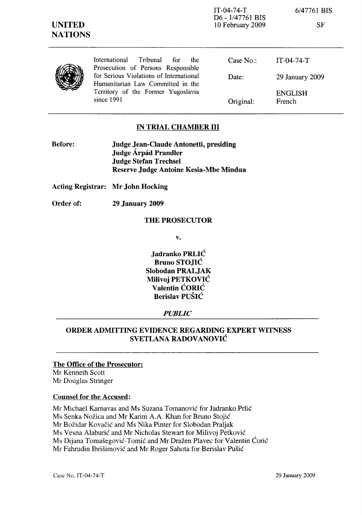| <b>UNITED</b><br><b>NATIONS</b> |                                                                               | $IT-04-74-T$<br>D6 - 1/47761 BIS<br>10 February 2009 | 6/47761 BIS<br><b>SF</b> |
|---------------------------------|-------------------------------------------------------------------------------|------------------------------------------------------|--------------------------|
|                                 | International<br>Tribunal<br>for<br>the<br>Prosecution of Persons Responsible | Case $No.$ :                                         | $IT-04-74-T$             |
|                                 | for Serious Violations of International<br>Humanitarian Law Committed in the  | Date:                                                | 29 January 2009          |
|                                 | Territory of the Former Yugoslavia<br>since 1991                              | Original:                                            | <b>ENGLISH</b><br>French |

### IN TRIAL CHAMBER III

Before: Judge Jean-Claude Antonetti, presiding Judge Árpád Prandler Judge Stefan Trechsel Reserve Judge Antoine Kesia-Mbe Mindua

Acting Registrar: Mr John Hocking

Order of: 29 January 2009

#### THE PROSECUTOR

v.

Jadranko PRLIC Bruno STOJIC Slobodan PRALJAK Milivoj PETKOVIC Valentin CORIC Berislav PUSIC

#### *PUBLIC*

## ORDER ADMITTING EVIDENCE REGARDING EXPERT WITNESS SVETLANA RADOVANOVIC

#### The Office of the Prosecutor:

Mr Kenneth Scott Mr Douglas Stringer

#### Counsel for the Accused:

Mr Michael Karnavas and Ms Suzana Tomanovic for Jadranko Prlic Ms Senka Nožica and Mr Karim A.A. Khan for Bruno Stojić Mr Bozidar Kovacic and Ms Nika Pinter for Slobodan Praljak Ms Vesna Alaburic and Mr Nicholas Stewart for Milivoj Petkovic Ms Dijana Tomasegovic-Tornic and Mr Drazen Plavec for Valentin Coric Mr Fahrudin Ibrisimovic and Mr Roger Sahota for Berislav Pusic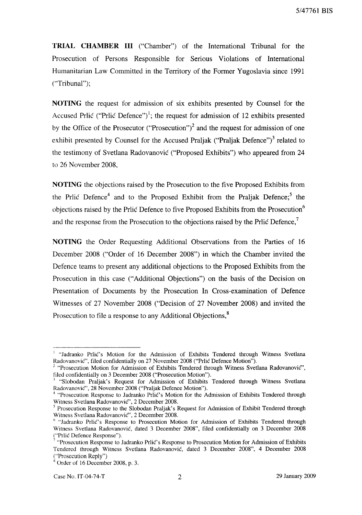**TRIAL CHAMBER III** ("Chamber") of the International Tribunal for the Prosecution of Persons Responsible for Serious Violations of International Humanitarian Law Committed in the Territory of the Former Yugoslavia since 1991 ("Tribunal");

**NOTING** the request for admission of six exhibits presented by Counsel for the Accused Prlic ("Prlic Defence")<sup>1</sup>; the request for admission of 12 exhibits presented by the Office of the Prosecutor ("Prosecution")<sup>2</sup> and the request for admission of one exhibit presented by Counsel for the Accused Praljak ("Praljak Defence")<sup>3</sup> related to the testimony of Svetlana Radovanovic ("Proposed Exhibits") who appeared from 24 to 26 November 2008,

**NOTING** the objections raised by the Prosecution to the five Proposed Exhibits from the Prlic Defence<sup>4</sup> and to the Proposed Exhibit from the Praljak Defence;<sup>5</sup> the objections raised by the Prlic Defence to five Proposed Exhibits from the Prosecution" and the response from the Prosecution to the objections raised by the Prlic Defence.'

**NOTING** the Order Requesting Additional Observations from the Parties of 16 December 2008 ("Order of 16 December 2008") in which the Chamber invited the Defence teams to present any additional objections to the Proposed Exhibits from the Prosecution in this case ("Additional Objections") on the basis of the Decision on Presentation of Documents by the Prosecution In Cross-examination of Defence Witnesses of 27 November 2008 ("Decision of 27 November 2008) and invited the Prosecution to file a response to any Additional Objections,<sup>8</sup>

<sup>&</sup>lt;sup>1</sup> "Jadranko Prlić's Motion for the Admission of Exhibits Tendered through Witness Svetlana Radovanovic", filed confidentially on 27 November 2008 ("Prlic Defence Motion").

 $2$  "Prosecution Motion for Admission of Exhibits Tendered through Witness Svetlana Radovanovic", filed confidentially on 3 December 2008 ("Prosecution Motion").

<sup>&</sup>lt;sup>3</sup> "Slobodan Praljak's Request for Admission of Exhibits Tendered through Witness Svetlana Radovanovic", 28 November 2008 ("Praljak Defence Motion").

<sup>&</sup>lt;sup>4</sup> "Prosecution Response to Jadranko Prlic's Motion for the Admission of Exhibits Tendered through Witness Svetlana Radovanovic", 2 December 2008.

<sup>5</sup> Prosecution Response to the Slobodan Praljak's Request for Admission of Exhibit Tendered through Witness Svetlana Radovanovic", 2 December 2008.

<sup>&</sup>lt;sup>6</sup> "Jadranko Prlić's Response to Prosecution Motion for Admission of Exhibits Tendered through Witness Svetlana Radovanovic, dated 3 December 2008", filed confidentially on 3 December 2008 ("Prlic Defence Response").

<sup>7</sup> "Prosecution Response to Jadranko Prlic's Response to Prosecution Motion for Admission of Exhibits Tendered through Witness Svetlana Radovanovic, dated 3 December 2008", 4 December 2008 ("Prosecution Reply")

 $\frac{8}{3}$  Order of 16 December 2008, p. 3.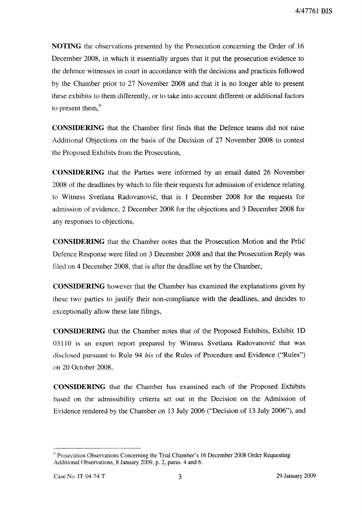**NOTING** the observations presented by the Prosecution concerning the Order of 16 December 2008, in which it essentially argues that it put the prosecution evidence to the defence witnesses in court in accordance with the decisions and practices followed by the Chamber prior to 27 November 2008 and that it is no longer able to present these exhibits to them differently, or to take into account different or additional factors to present them, $\frac{9}{7}$ 

**CONSIDERING** that the Chamber first finds that the Defence teams did not raise Additional Objections on the basis of the Decision of 27 November 2008 to contest the Proposed Exhibits from the Prosecution,

**CONSIDERING** that the Parties were informed by an email dated 26 November 2008 of the deadlines by which to file their requests for admission of evidence relating to Witness Svetlana Radovanovic, that is I December 2008 for the requests for admission of evidence, 2 December 2008 for the objections and 3 December 2008 for any responses to objections,

**CONSIDERING** that the Chamber notes that the Prosecution Motion and the Prlic Defence Response were filed on 3 December 2008 and that the Prosecution Reply was filed on 4 December 2008, that is after the deadline set by the Chamber,

**CONSIDERING** however that the Chamber has examined the explanations given by these two parties to justify their non-compliance with the deadlines, and decides to exceptionally allow these late filings,

**CONSIDERING** that the Chamber notes that of the Proposed Exhibits, Exhibit ID 03110 is an expert report prepared by Witness Svetlana Radovanovic that was disclosed pursuant to Rule 94 *his* of the Rules of Procedure and Evidence ("Rules") on 20 October 2008,

**CONSIDERING** that the Chamber has examined each of the Proposed Exhibits based on the admissibility criteria set out in the Decision on the Admission of Evidence rendered by the Chamber on 13 July 2006 ("Decision of 13 July 2006"), and

<sup>&</sup>lt;sup>9</sup> Prosecution Observations Concerning the Trial Chamber's 16 December 2008 Order Requesting Additional Observations, 8 January 2009, p. 2, paras. 4 and 6.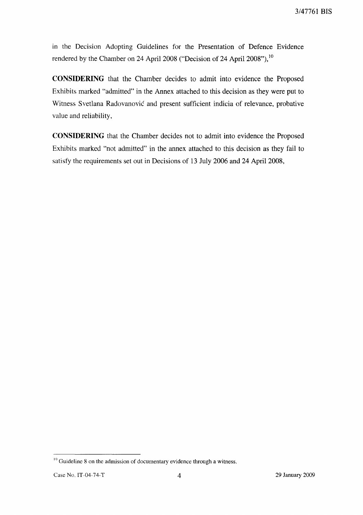in the Decision Adopting Guidelines for the Presentation of Defence Evidence rendered by the Chamber on 24 April 2008 ("Decision of 24 April 2008"),<sup>10</sup>

**CONSIDERING** that the Chamber decides to admit into evidence the Proposed Exhibits marked "admitted" in the Annex attached to this decision as they were put to Witness Svetlana Radovanovic and present sufficient indicia of relevance, probative value and reliability,

**CONSIDERING** that the Chamber decides not to admit into evidence the Proposed Exhibits marked "not admitted" in the annex attached to this decision as they fail to satisfy the requirements set out in Decisions of 13 July 2006 and 24 April 2008,

 $10$  Guideline 8 on the admission of documentary evidence through a witness.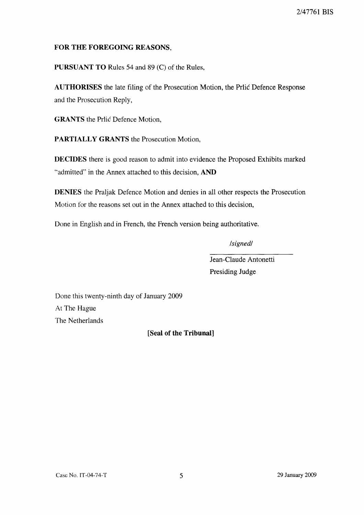## **FOR THE FOREGOING** REASONS,

**PURSUANT TO** Rules 54 and 89 (C) of the Rules,

**AUTHORISES** the late filing of the Prosecution Motion, the Prlic Defence Response and the Prosecution Reply,

**GRANTS** the Prlic Defence Motion,

**PARTIALLY GRANTS** the Prosecution Motion,

**DECIDES** there is good reason to admit into evidence the Proposed Exhibits marked "admitted" in the Annex attached to this decision, **AND**

**DENIES** the Praljak Defence Motion and denies in all other respects the Prosecution Motion for the reasons set out in the Annex attached to this decision,

Done in English and in French, the French version being authoritative.

*/signed/*

Jean-Claude Antonetti Presiding Judge

Done this twenty-ninth day of January 2009 At The Hague The Netherlands

**[Seal of the Tribunal]**